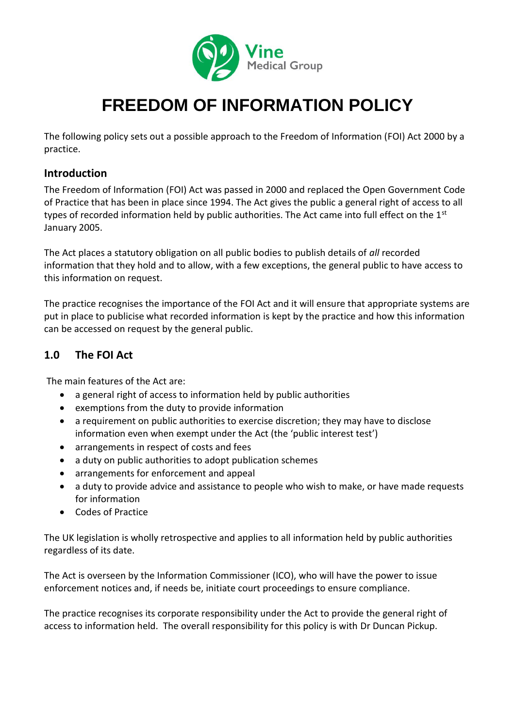

# **FREEDOM OF INFORMATION POLICY**

The following policy sets out a possible approach to the Freedom of Information (FOI) Act 2000 by a practice.

### **Introduction**

The Freedom of Information (FOI) Act was passed in 2000 and replaced the Open Government Code of Practice that has been in place since 1994. The Act gives the public a general right of access to all types of recorded information held by public authorities. The Act came into full effect on the 1<sup>st</sup> January 2005.

The Act places a statutory obligation on all public bodies to publish details of *all* recorded information that they hold and to allow, with a few exceptions, the general public to have access to this information on request.

The practice recognises the importance of the FOI Act and it will ensure that appropriate systems are put in place to publicise what recorded information is kept by the practice and how this information can be accessed on request by the general public.

# **1.0 The FOI Act**

The main features of the Act are:

- a general right of access to information held by public authorities
- exemptions from the duty to provide information
- a requirement on public authorities to exercise discretion; they may have to disclose information even when exempt under the Act (the 'public interest test')
- arrangements in respect of costs and fees
- a duty on public authorities to adopt publication schemes
- arrangements for enforcement and appeal
- a duty to provide advice and assistance to people who wish to make, or have made requests for information
- Codes of Practice

The UK legislation is wholly retrospective and applies to all information held by public authorities regardless of its date.

The Act is overseen by the Information Commissioner (ICO), who will have the power to issue enforcement notices and, if needs be, initiate court proceedings to ensure compliance.

The practice recognises its corporate responsibility under the Act to provide the general right of access to information held. The overall responsibility for this policy is with Dr Duncan Pickup.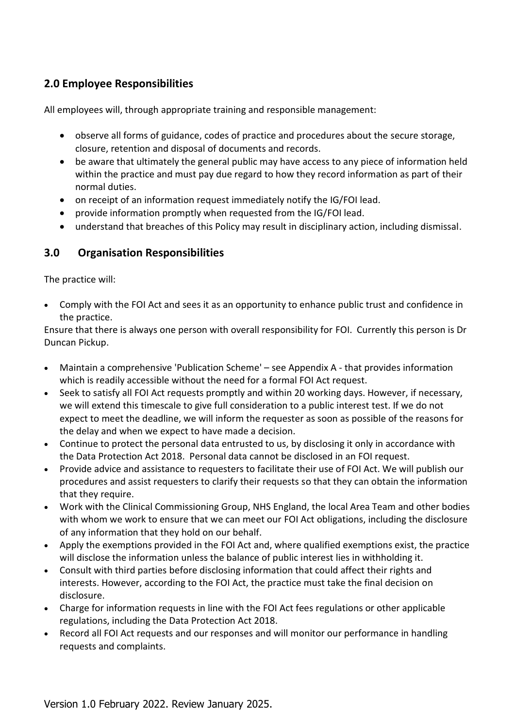# **2.0 Employee Responsibilities**

All employees will, through appropriate training and responsible management:

- observe all forms of guidance, codes of practice and procedures about the secure storage, closure, retention and disposal of documents and records.
- be aware that ultimately the general public may have access to any piece of information held within the practice and must pay due regard to how they record information as part of their normal duties.
- on receipt of an information request immediately notify the IG/FOI lead.
- provide information promptly when requested from the IG/FOI lead.
- understand that breaches of this Policy may result in disciplinary action, including dismissal.

# **3.0 Organisation Responsibilities**

The practice will:

• Comply with the FOI Act and sees it as an opportunity to enhance public trust and confidence in the practice.

Ensure that there is always one person with overall responsibility for FOI. Currently this person is Dr Duncan Pickup.

- Maintain a comprehensive 'Publication Scheme' see Appendix A that provides information which is readily accessible without the need for a formal FOI Act request.
- Seek to satisfy all FOI Act requests promptly and within 20 working days. However, if necessary, we will extend this timescale to give full consideration to a public interest test. If we do not expect to meet the deadline, we will inform the requester as soon as possible of the reasons for the delay and when we expect to have made a decision.
- Continue to protect the personal data entrusted to us, by disclosing it only in accordance with the Data Protection Act 2018. Personal data cannot be disclosed in an FOI request.
- Provide advice and assistance to requesters to facilitate their use of FOI Act. We will publish our procedures and assist requesters to clarify their requests so that they can obtain the information that they require.
- Work with the Clinical Commissioning Group, NHS England, the local Area Team and other bodies with whom we work to ensure that we can meet our FOI Act obligations, including the disclosure of any information that they hold on our behalf.
- Apply the exemptions provided in the FOI Act and, where qualified exemptions exist, the practice will disclose the information unless the balance of public interest lies in withholding it.
- Consult with third parties before disclosing information that could affect their rights and interests. However, according to the FOI Act, the practice must take the final decision on disclosure.
- Charge for information requests in line with the FOI Act fees regulations or other applicable regulations, including the Data Protection Act 2018.
- Record all FOI Act requests and our responses and will monitor our performance in handling requests and complaints.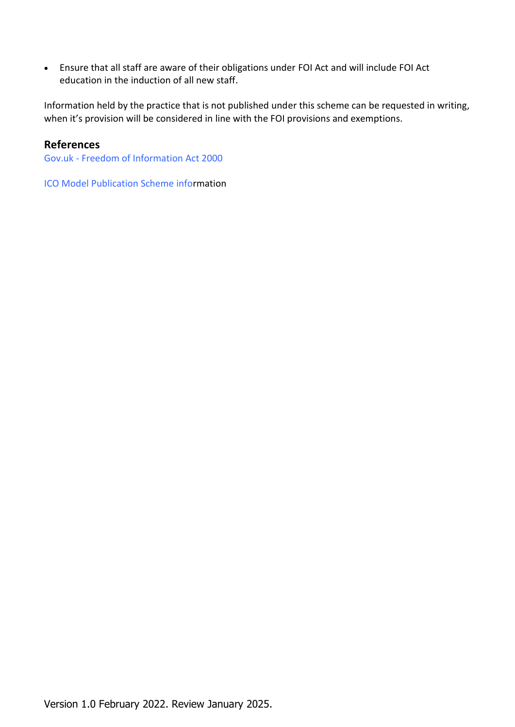• Ensure that all staff are aware of their obligations under FOI Act and will include FOI Act education in the induction of all new staff.

Information held by the practice that is not published under this scheme can be requested in writing, when it's provision will be considered in line with the FOI provisions and exemptions.

#### **References**

Gov.uk - [Freedom of Information Act 2000](http://www.legislation.gov.uk/ukpga/2000/36/contents)

ICO Model [Publication Scheme infor](https://ico.org.uk/media/for-organisations/documents/1153/model-publication-scheme.pdf)mation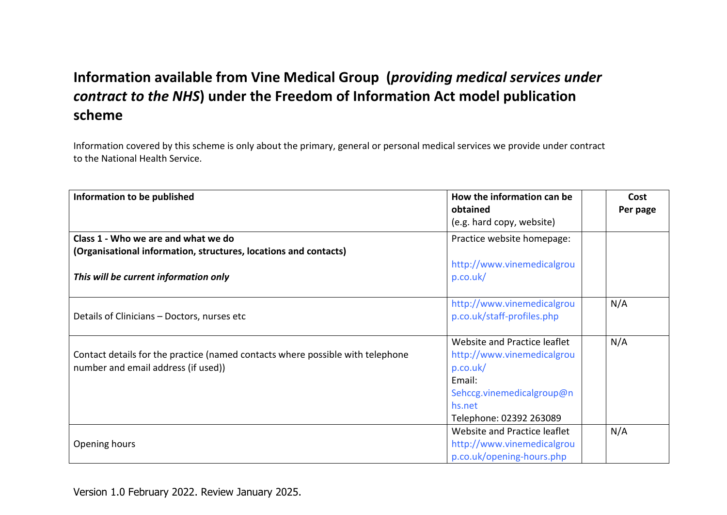# **Information available from Vine Medical Group (***providing medical services under contract to the NHS***) under the Freedom of Information Act model publication scheme**

Information covered by this scheme is only about the primary, general or personal medical services we provide under contract to the National Health Service.

| Information to be published                                                                                           | How the information can be<br>obtained                                                                                                             | Cost<br>Per page |
|-----------------------------------------------------------------------------------------------------------------------|----------------------------------------------------------------------------------------------------------------------------------------------------|------------------|
|                                                                                                                       | (e.g. hard copy, website)                                                                                                                          |                  |
| Class 1 - Who we are and what we do<br>(Organisational information, structures, locations and contacts)               | Practice website homepage:                                                                                                                         |                  |
| This will be current information only                                                                                 | http://www.vinemedicalgrou<br>p.co.uk/                                                                                                             |                  |
| Details of Clinicians - Doctors, nurses etc                                                                           | http://www.vinemedicalgrou<br>p.co.uk/staff-profiles.php                                                                                           | N/A              |
| Contact details for the practice (named contacts where possible with telephone<br>number and email address (if used)) | Website and Practice leaflet<br>http://www.vinemedicalgrou<br>p.co.uk/<br>Email:<br>Sehccg.vinemedicalgroup@n<br>hs.net<br>Telephone: 02392 263089 | N/A              |
| Opening hours                                                                                                         | Website and Practice leaflet<br>http://www.vinemedicalgrou<br>p.co.uk/opening-hours.php                                                            | N/A              |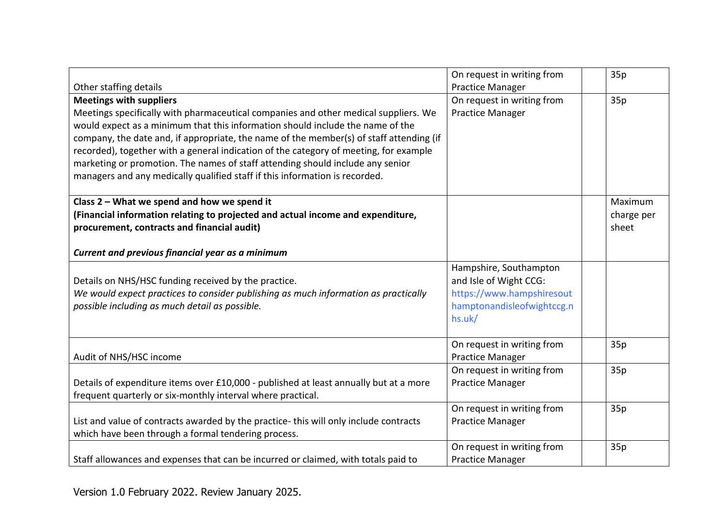|                                                                                         | On request in writing from | 35p        |
|-----------------------------------------------------------------------------------------|----------------------------|------------|
| Other staffing details                                                                  | <b>Practice Manager</b>    |            |
| <b>Meetings with suppliers</b>                                                          | On request in writing from | 35p        |
| Meetings specifically with pharmaceutical companies and other medical suppliers. We     | <b>Practice Manager</b>    |            |
| would expect as a minimum that this information should include the name of the          |                            |            |
| company, the date and, if appropriate, the name of the member(s) of staff attending (if |                            |            |
| recorded), together with a general indication of the category of meeting, for example   |                            |            |
| marketing or promotion. The names of staff attending should include any senior          |                            |            |
| managers and any medically qualified staff if this information is recorded.             |                            |            |
|                                                                                         |                            |            |
| Class 2 - What we spend and how we spend it                                             |                            | Maximum    |
| (Financial information relating to projected and actual income and expenditure,         |                            | charge per |
| procurement, contracts and financial audit)                                             |                            | sheet      |
|                                                                                         |                            |            |
| Current and previous financial year as a minimum                                        |                            |            |
|                                                                                         | Hampshire, Southampton     |            |
| Details on NHS/HSC funding received by the practice.                                    | and Isle of Wight CCG:     |            |
| We would expect practices to consider publishing as much information as practically     | https://www.hampshiresout  |            |
| possible including as much detail as possible.                                          | hamptonandisleofwightccg.n |            |
|                                                                                         | hs.uk/                     |            |
|                                                                                         |                            |            |
|                                                                                         | On request in writing from | 35p        |
| Audit of NHS/HSC income                                                                 | <b>Practice Manager</b>    |            |
|                                                                                         | On request in writing from | 35p        |
| Details of expenditure items over £10,000 - published at least annually but at a more   | <b>Practice Manager</b>    |            |
| frequent quarterly or six-monthly interval where practical.                             |                            |            |
|                                                                                         | On request in writing from | 35p        |
| List and value of contracts awarded by the practice-this will only include contracts    | <b>Practice Manager</b>    |            |
| which have been through a formal tendering process.                                     |                            |            |
|                                                                                         | On request in writing from | 35p        |
| Staff allowances and expenses that can be incurred or claimed, with totals paid to      | <b>Practice Manager</b>    |            |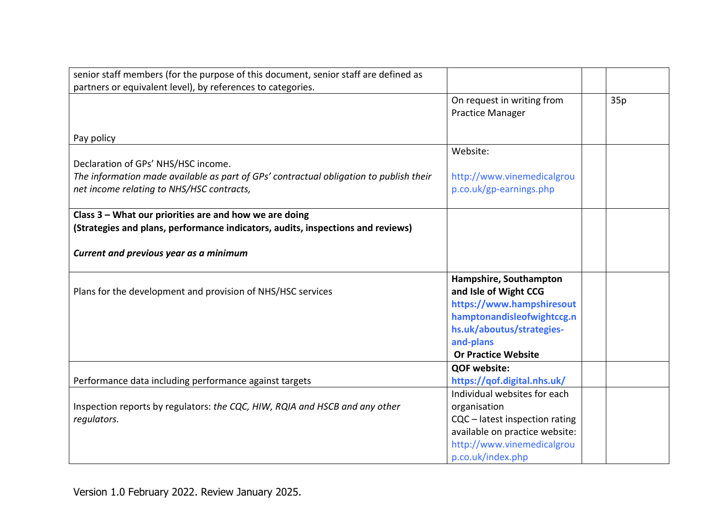| senior staff members (for the purpose of this document, senior staff are defined as    |                                |     |
|----------------------------------------------------------------------------------------|--------------------------------|-----|
| partners or equivalent level), by references to categories.                            |                                |     |
|                                                                                        | On request in writing from     | 35p |
|                                                                                        | <b>Practice Manager</b>        |     |
|                                                                                        |                                |     |
| Pay policy                                                                             |                                |     |
|                                                                                        | Website:                       |     |
| Declaration of GPs' NHS/HSC income.                                                    |                                |     |
| The information made available as part of GPs' contractual obligation to publish their | http://www.vinemedicalgrou     |     |
| net income relating to NHS/HSC contracts,                                              | p.co.uk/gp-earnings.php        |     |
|                                                                                        |                                |     |
| Class 3 - What our priorities are and how we are doing                                 |                                |     |
| (Strategies and plans, performance indicators, audits, inspections and reviews)        |                                |     |
|                                                                                        |                                |     |
| Current and previous year as a minimum                                                 |                                |     |
|                                                                                        |                                |     |
|                                                                                        | Hampshire, Southampton         |     |
| Plans for the development and provision of NHS/HSC services                            | and Isle of Wight CCG          |     |
|                                                                                        | https://www.hampshiresout      |     |
|                                                                                        | hamptonandisleofwightccg.n     |     |
|                                                                                        | hs.uk/aboutus/strategies-      |     |
|                                                                                        | and-plans                      |     |
|                                                                                        | <b>Or Practice Website</b>     |     |
|                                                                                        | <b>QOF website:</b>            |     |
| Performance data including performance against targets                                 | https://qof.digital.nhs.uk/    |     |
|                                                                                        | Individual websites for each   |     |
| Inspection reports by regulators: the CQC, HIW, RQIA and HSCB and any other            | organisation                   |     |
| regulators.                                                                            | CQC - latest inspection rating |     |
|                                                                                        | available on practice website: |     |
|                                                                                        | http://www.vinemedicalgrou     |     |
|                                                                                        | p.co.uk/index.php              |     |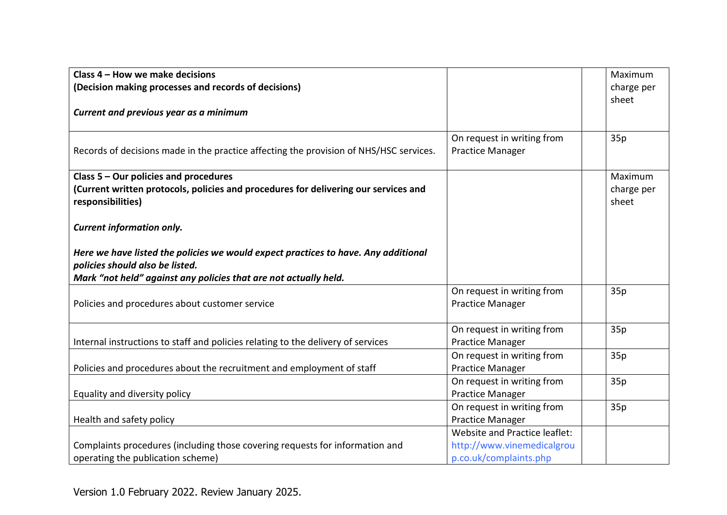| Class 4 - How we make decisions                                                                                                                                                           |                                                                                       | Maximum                        |
|-------------------------------------------------------------------------------------------------------------------------------------------------------------------------------------------|---------------------------------------------------------------------------------------|--------------------------------|
| (Decision making processes and records of decisions)                                                                                                                                      |                                                                                       | charge per                     |
| Current and previous year as a minimum                                                                                                                                                    |                                                                                       | sheet                          |
| Records of decisions made in the practice affecting the provision of NHS/HSC services.                                                                                                    | On request in writing from<br>Practice Manager                                        | 35p                            |
| Class 5 - Our policies and procedures<br>(Current written protocols, policies and procedures for delivering our services and<br>responsibilities)                                         |                                                                                       | Maximum<br>charge per<br>sheet |
| <b>Current information only.</b>                                                                                                                                                          |                                                                                       |                                |
| Here we have listed the policies we would expect practices to have. Any additional<br>policies should also be listed.<br>Mark "not held" against any policies that are not actually held. |                                                                                       |                                |
| Policies and procedures about customer service                                                                                                                                            | On request in writing from<br><b>Practice Manager</b>                                 | 35p                            |
| Internal instructions to staff and policies relating to the delivery of services                                                                                                          | On request in writing from<br><b>Practice Manager</b>                                 | 35p                            |
| Policies and procedures about the recruitment and employment of staff                                                                                                                     | On request in writing from<br><b>Practice Manager</b>                                 | 35p                            |
| Equality and diversity policy                                                                                                                                                             | On request in writing from<br><b>Practice Manager</b>                                 | 35p                            |
| Health and safety policy                                                                                                                                                                  | On request in writing from<br><b>Practice Manager</b>                                 | 35p                            |
| Complaints procedures (including those covering requests for information and<br>operating the publication scheme)                                                                         | Website and Practice leaflet:<br>http://www.vinemedicalgrou<br>p.co.uk/complaints.php |                                |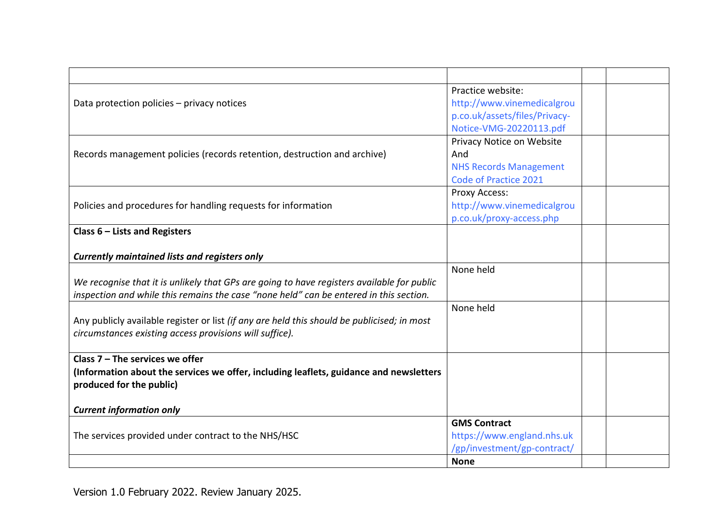|                                                                                             | Practice website:             |  |
|---------------------------------------------------------------------------------------------|-------------------------------|--|
| Data protection policies - privacy notices                                                  | http://www.vinemedicalgrou    |  |
|                                                                                             | p.co.uk/assets/files/Privacy- |  |
|                                                                                             | Notice-VMG-20220113.pdf       |  |
|                                                                                             | Privacy Notice on Website     |  |
| Records management policies (records retention, destruction and archive)                    | And                           |  |
|                                                                                             | <b>NHS Records Management</b> |  |
|                                                                                             | <b>Code of Practice 2021</b>  |  |
|                                                                                             | Proxy Access:                 |  |
| Policies and procedures for handling requests for information                               | http://www.vinemedicalgrou    |  |
|                                                                                             | p.co.uk/proxy-access.php      |  |
| Class $6$ – Lists and Registers                                                             |                               |  |
|                                                                                             |                               |  |
| <b>Currently maintained lists and registers only</b>                                        |                               |  |
|                                                                                             | None held                     |  |
| We recognise that it is unlikely that GPs are going to have registers available for public  |                               |  |
| inspection and while this remains the case "none held" can be entered in this section.      |                               |  |
|                                                                                             | None held                     |  |
| Any publicly available register or list (if any are held this should be publicised; in most |                               |  |
| circumstances existing access provisions will suffice).                                     |                               |  |
|                                                                                             |                               |  |
| Class $7 -$ The services we offer                                                           |                               |  |
| (Information about the services we offer, including leaflets, guidance and newsletters      |                               |  |
| produced for the public)                                                                    |                               |  |
|                                                                                             |                               |  |
| <b>Current information only</b>                                                             |                               |  |
|                                                                                             | <b>GMS Contract</b>           |  |
| The services provided under contract to the NHS/HSC                                         | https://www.england.nhs.uk    |  |
|                                                                                             | /gp/investment/gp-contract/   |  |
|                                                                                             | <b>None</b>                   |  |